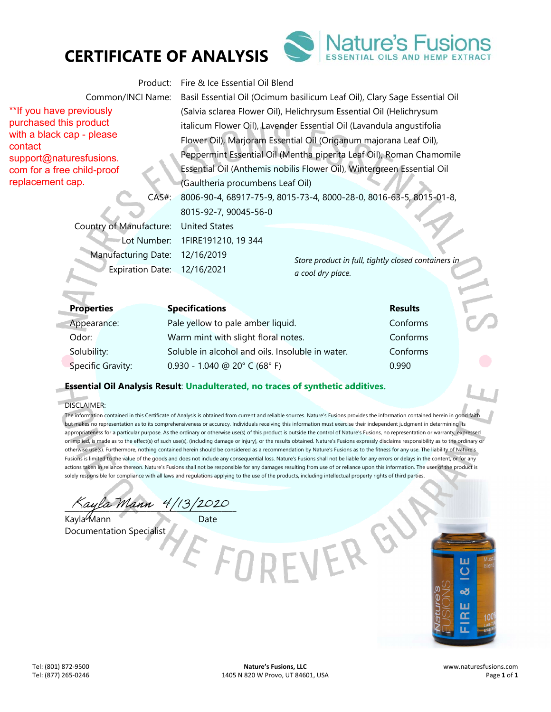



\*\*If you have previously purchased this product with a black cap - please support@naturesfusions. com for a free child-proof replacement cap.

contact

Product: Fire & Ice Essential Oil Blend

Common/INCI Name: Basil Essential Oil (Ocimum basilicum Leaf Oil), Clary Sage Essential Oil (Salvia sclarea Flower Oil), Helichrysum Essential Oil (Helichrysum italicum Flower Oil), Lavender Essential Oil (Lavandula angustifolia Flower Oil), Marjoram Essential Oil (Origanum majorana Leaf Oil), Peppermint Essential Oil (Mentha piperita Leaf Oil), Roman Chamomile Essential Oil (Anthemis nobilis Flower Oil), Wintergreen Essential Oil (Gaultheria procumbens Leaf Oil) CAS#: 8006-90-4, 68917-75-9, 8015-73-4, 8000-28-0, 8016-63-5, 8015-01-8,

8015-92-7, 90045-56-0

Country of Manufacture: United States Lot Number: 1FIRE191210, 19 344 Manufacturing Date: 12/16/2019 Expiration Date: 12/16/2021

*Store product in full, tightly closed containers in a cool dry place.* 

| <b>Properties</b> | <b>Specifications</b>                            | <b>Results</b> |  |
|-------------------|--------------------------------------------------|----------------|--|
| Appearance:       | Pale yellow to pale amber liquid.                | Conforms       |  |
| Odor:             | Warm mint with slight floral notes.              | Conforms       |  |
| Solubility:       | Soluble in alcohol and oils. Insoluble in water. | Conforms       |  |
| Specific Gravity: | $0.930 - 1.040$ @ 20° C (68° F)                  | 0.990          |  |

### **Essential Oil Analysis Result**: **Unadulterated, no traces of synthetic additives.**

DISCLAIMER:

e.

The information contained in this Certificate of Analysis is obtained from current and reliable sources. Nature's Fusions provides the information contained herein in good faith but makes no representation as to its comprehensiveness or accuracy. Individuals receiving this information must exercise their independent judgment in determining its appropriateness for a particular purpose. As the ordinary or otherwise use(s) of this product is outside the control of Nature's Fusions, no representation or warranty, expressed or implied, is made as to the effect(s) of such use(s), (including damage or injury), or the results obtained. Nature's Fusions expressly disclaims responsibility as to the ordinary or otherwise use(s). Furthermore, nothing contained herein should be considered as a recommendation by Nature's Fusions as to the fitness for any use. The liability of Nature's Fusions is limited to the value of the goods and does not include any consequential loss. Nature's Fusions shall not be liable for any errors or delays in the content, or for any actions taken in reliance thereon. Nature's Fusions shall not be responsible for any damages resulting from use of or reliance upon this information. The user of the product is solely responsible for compliance with all laws and regulations applying to the use of the products, including intellectual property rights of third parties

 $\%$ ayla Mann 4/13/2020

Kayla Mann Date Documentation Specialist

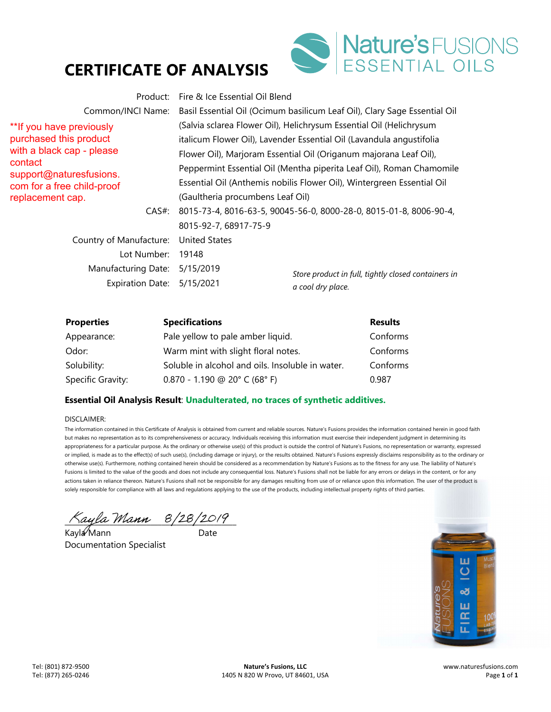

Product: Fire & Ice Essential Oil Blend

\*\*If you have previously purchased this product with a black cap - please contact support@naturesfusions. com for a free child-proof replacement cap.

*Store product in full, tightly closed containers in a cool dry place.*  Common/INCI Name: Basil Essential Oil (Ocimum basilicum Leaf Oil), Clary Sage Essential Oil (Salvia sclarea Flower Oil), Helichrysum Essential Oil (Helichrysum italicum Flower Oil), Lavender Essential Oil (Lavandula angustifolia Flower Oil), Marjoram Essential Oil (Origanum majorana Leaf Oil), Peppermint Essential Oil (Mentha piperita Leaf Oil), Roman Chamomile Essential Oil (Anthemis nobilis Flower Oil), Wintergreen Essential Oil (Gaultheria procumbens Leaf Oil) CAS#: 8015-73-4, 8016-63-5, 90045-56-0, 8000-28-0, 8015-01-8, 8006-90-4, 8015-92-7, 68917-75-9 Country of Manufacture: United States Lot Number: 19148 Manufacturing Date: 5/15/2019 Expiration Date: 5/15/2021

| <b>Properties</b> | <b>Specifications</b>                                                                  | <b>Results</b> |
|-------------------|----------------------------------------------------------------------------------------|----------------|
| Appearance:       | Pale yellow to pale amber liquid.                                                      | Conforms       |
| Odor:             | Warm mint with slight floral notes.                                                    | Conforms       |
| Solubility:       | Soluble in alcohol and oils. Insoluble in water.                                       | Conforms       |
| Specific Gravity: | $0.870 - 1.190 \text{ } \textcircled{a} 20^{\circ} \text{ } C (68^{\circ} \text{ } F)$ | 0.987          |

### **Essential Oil Analysis Result**: **Unadulterated, no traces of synthetic additives.**

#### DISCLAIMER:

<mark>Kayla Mann 8/28/2019</mark><br>Kavl**a Mann** Date

Kayla Mann Documentation Specialist

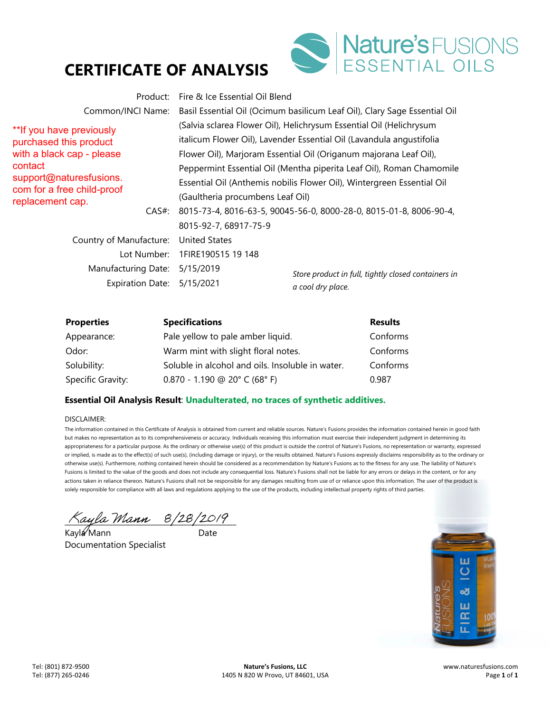

\*\*If you have previously purchased this product with a black cap - please contact support@naturesfusions. com for a free child-proof replacement cap.

*Store product in full, tightly closed containers in*  Product: Fire & Ice Essential Oil Blend Common/INCI Name: Basil Essential Oil (Ocimum basilicum Leaf Oil), Clary Sage Essential Oil (Salvia sclarea Flower Oil), Helichrysum Essential Oil (Helichrysum italicum Flower Oil), Lavender Essential Oil (Lavandula angustifolia Flower Oil), Marjoram Essential Oil (Origanum majorana Leaf Oil), Peppermint Essential Oil (Mentha piperita Leaf Oil), Roman Chamomile Essential Oil (Anthemis nobilis Flower Oil), Wintergreen Essential Oil (Gaultheria procumbens Leaf Oil) CAS#: 8015-73-4, 8016-63-5, 90045-56-0, 8000-28-0, 8015-01-8, 8006-90-4, 8015-92-7, 68917-75-9 Country of Manufacture: United States Lot Number: 1FIRE190515 19 148 Manufacturing Date: 5/15/2019

Expiration Date: 5/15/2021

*a cool dry place.* 

| <b>Properties</b> | <b>Specifications</b>                                                                  | <b>Results</b> |
|-------------------|----------------------------------------------------------------------------------------|----------------|
| Appearance:       | Pale yellow to pale amber liquid.                                                      | Conforms       |
| Odor:             | Warm mint with slight floral notes.                                                    | Conforms       |
| Solubility:       | Soluble in alcohol and oils. Insoluble in water.                                       | Conforms       |
| Specific Gravity: | $0.870 - 1.190 \text{ } \textcircled{a} 20^{\circ} \text{ } C (68^{\circ} \text{ } F)$ | 0.987          |

## **Essential Oil Analysis Result**: **Unadulterated, no traces of synthetic additives.**

#### DISCLAIMER:

Kayla Mann 8/28/2019

Kayla Mann Date Documentation Specialist

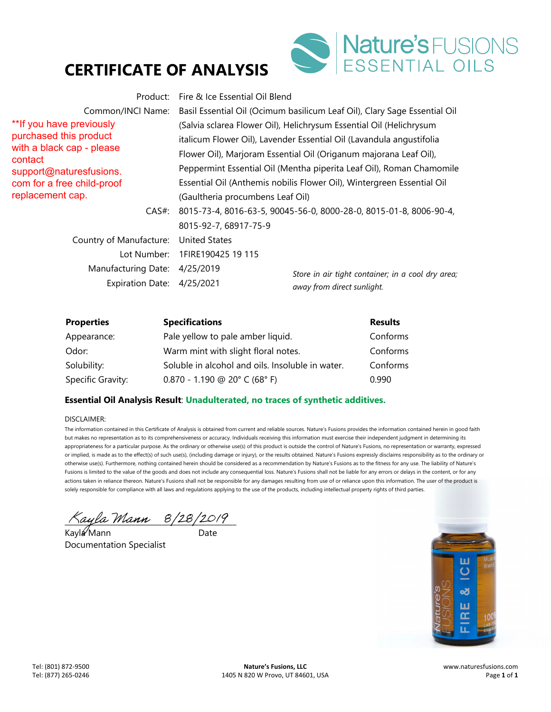

\*\*If you have previously purchased this product with a black cap - please contact support@naturesfusions. com for a free child-proof replacement cap.

*Store in air tight container; in a cool dry area;*  Product: Fire & Ice Essential Oil Blend Common/INCI Name: Basil Essential Oil (Ocimum basilicum Leaf Oil), Clary Sage Essential Oil (Salvia sclarea Flower Oil), Helichrysum Essential Oil (Helichrysum italicum Flower Oil), Lavender Essential Oil (Lavandula angustifolia Flower Oil), Marjoram Essential Oil (Origanum majorana Leaf Oil), Peppermint Essential Oil (Mentha piperita Leaf Oil), Roman Chamomile Essential Oil (Anthemis nobilis Flower Oil), Wintergreen Essential Oil (Gaultheria procumbens Leaf Oil) CAS#: 8015-73-4, 8016-63-5, 90045-56-0, 8000-28-0, 8015-01-8, 8006-90-4, 8015-92-7, 68917-75-9 Country of Manufacture: United States Lot Number: 1FIRE190425 19 115 Manufacturing Date: 4/25/2019 Expiration Date: 4/25/2021

*away from direct sunlight.* 

**Properties Specifications Results** Results Appearance: Pale yellow to pale amber liquid. Conforms Odor: Warm mint with slight floral notes. Conforms Solubility: Soluble in alcohol and oils. Insoluble in water. Conforms Specific Gravity: 0.870 - 1.190 @ 20° C (68° F) 0.990

### **Essential Oil Analysis Result**: **Unadulterated, no traces of synthetic additives.**

#### DISCLAIMER:

Kayla Mann 8/28/2019

Kayla Mann Date Documentation Specialist

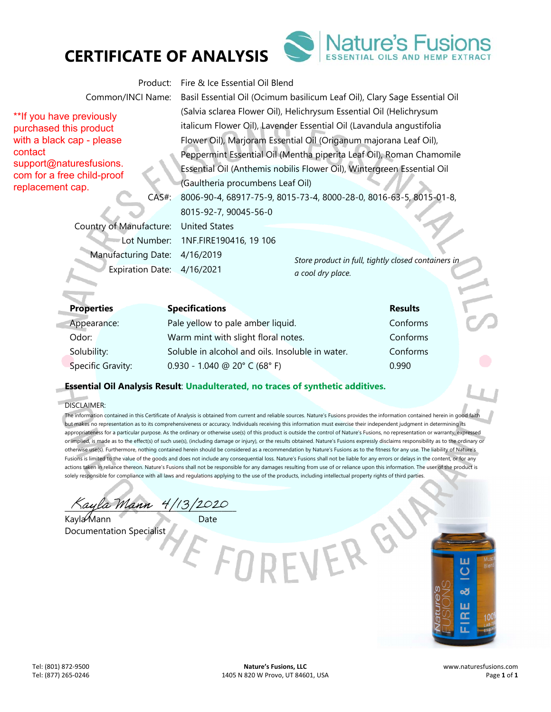



\*\*If you have previously purchased this product with a black cap - please contact support@naturesfusions. com for a free child-proof replacement cap.

Product: Fire & Ice Essential Oil Blend

Common/INCI Name: Basil Essential Oil (Ocimum basilicum Leaf Oil), Clary Sage Essential Oil (Salvia sclarea Flower Oil), Helichrysum Essential Oil (Helichrysum italicum Flower Oil), Lavender Essential Oil (Lavandula angustifolia Flower Oil), Marjoram Essential Oil (Origanum majorana Leaf Oil), Peppermint Essential Oil (Mentha piperita Leaf Oil), Roman Chamomile Essential Oil (Anthemis nobilis Flower Oil), Wintergreen Essential Oil (Gaultheria procumbens Leaf Oil) CAS#: 8006-90-4, 68917-75-9, 8015-73-4, 8000-28-0, 8016-63-5, 8015-01-8,

8015-92-7, 90045-56-0

Country of Manufacture: United States Lot Number: 1NF.FIRE190416, 19 106 Manufacturing Date: 4/16/2019 Expiration Date: 4/16/2021

*Store product in full, tightly closed containers in a cool dry place.* 

| <b>Properties</b> | <b>Specifications</b>                            | <b>Results</b> |  |
|-------------------|--------------------------------------------------|----------------|--|
| Appearance:       | Pale yellow to pale amber liquid.                | Conforms       |  |
| Odor:             | Warm mint with slight floral notes.              | Conforms       |  |
| Solubility:       | Soluble in alcohol and oils. Insoluble in water. | Conforms       |  |
| Specific Gravity: | $0.930 - 1.040$ @ 20° C (68° F)                  | 0.990          |  |

### **Essential Oil Analysis Result**: **Unadulterated, no traces of synthetic additives.**

DISCLAIMER:

e.

The information contained in this Certificate of Analysis is obtained from current and reliable sources. Nature's Fusions provides the information contained herein in good faith but makes no representation as to its comprehensiveness or accuracy. Individuals receiving this information must exercise their independent judgment in determining its appropriateness for a particular purpose. As the ordinary or otherwise use(s) of this product is outside the control of Nature's Fusions, no representation or warranty, expressed or implied, is made as to the effect(s) of such use(s), (including damage or injury), or the results obtained. Nature's Fusions expressly disclaims responsibility as to the ordinary or otherwise use(s). Furthermore, nothing contained herein should be considered as a recommendation by Nature's Fusions as to the fitness for any use. The liability of Nature's Fusions is limited to the value of the goods and does not include any consequential loss. Nature's Fusions shall not be liable for any errors or delays in the content, or for any actions taken in reliance thereon. Nature's Fusions shall not be responsible for any damages resulting from use of or reliance upon this information. The user of the product is solely responsible for compliance with all laws and regulations applying to the use of the products, including intellectual property rights of third parties

 $\%$ ayla Mann 4/13/2020

Kayla Mann Date Documentation Specialist

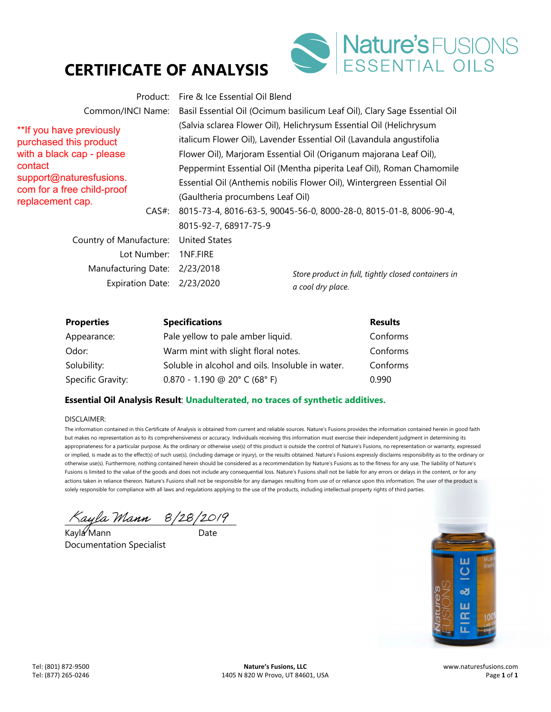

\*\*If you have previously purchased this product with a black cap - please contact support@naturesfusions. com for a free child-proof replacement cap.

Product: Fire & Ice Essential Oil Blend Common/INCI Name: Basil Essential Oil (Ocimum basilicum Leaf Oil), Clary Sage Essential Oil (Salvia sclarea Flower Oil), Helichrysum Essential Oil (Helichrysum italicum Flower Oil), Lavender Essential Oil (Lavandula angustifolia Flower Oil), Marjoram Essential Oil (Origanum majorana Leaf Oil), Peppermint Essential Oil (Mentha piperita Leaf Oil), Roman Chamomile Essential Oil (Anthemis nobilis Flower Oil), Wintergreen Essential Oil (Gaultheria procumbens Leaf Oil) CAS#: 8015-73-4, 8016-63-5, 90045-56-0, 8000-28-0, 8015-01-8, 8006-90-4, 8015-92-7, 68917-75-9 Country of Manufacture: United States Lot Number: 1NF.FIRE

Manufacturing Date: 2/23/2018 Expiration Date: 2/23/2020

*Store product in full, tightly closed containers in a cool dry place.* 

| <b>Properties</b> | <b>Specifications</b>                                                | <b>Results</b> |
|-------------------|----------------------------------------------------------------------|----------------|
| Appearance:       | Pale yellow to pale amber liquid.                                    | Conforms       |
| Odor:             | Warm mint with slight floral notes.                                  | Conforms       |
| Solubility:       | Soluble in alcohol and oils. Insoluble in water.                     | Conforms       |
| Specific Gravity: | $0.870 - 1.190 \text{ } \textcircled{}20^{\circ} \text{ } C$ (68° F) | 0.990          |

## **Essential Oil Analysis Result**: **Unadulterated, no traces of synthetic additives.**

#### DISCLAIMER:

 $\sqrt{a}$ yla Mann 8/28/2017

Kayla Mann ann an Date Documentation Specialist